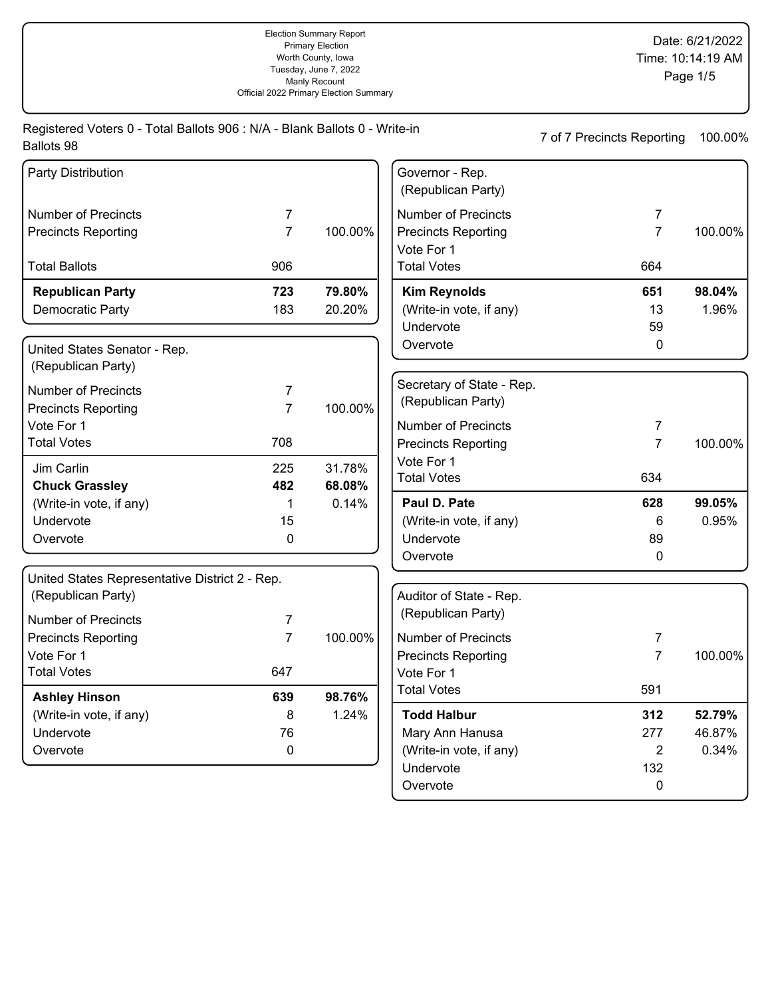Registered Voters 0 - Total Ballots 906 : N/A - Blank Ballots 0 - Write-in 7 of 7 Precincts Reporting 100.00% Ballots 98

| Party Distribution                                                   |                |         | Governor - Rep.<br>(Republican Party)         |                |         |
|----------------------------------------------------------------------|----------------|---------|-----------------------------------------------|----------------|---------|
| <b>Number of Precincts</b>                                           | 7              |         | <b>Number of Precincts</b>                    | $\overline{7}$ |         |
| <b>Precincts Reporting</b>                                           | $\overline{7}$ | 100.00% | <b>Precincts Reporting</b>                    | $\overline{7}$ | 100.00% |
|                                                                      |                |         | Vote For 1                                    |                |         |
| <b>Total Ballots</b>                                                 | 906            |         | <b>Total Votes</b>                            | 664            |         |
| <b>Republican Party</b>                                              | 723            | 79.80%  | <b>Kim Reynolds</b>                           | 651            | 98.04%  |
| Democratic Party                                                     | 183            | 20.20%  | (Write-in vote, if any)                       | 13             | 1.96%   |
|                                                                      |                |         | Undervote                                     | 59             |         |
| United States Senator - Rep.                                         |                |         | Overvote                                      | 0              |         |
| (Republican Party)                                                   |                |         |                                               |                |         |
| <b>Number of Precincts</b>                                           | 7              |         | Secretary of State - Rep.                     |                |         |
| <b>Precincts Reporting</b>                                           | $\overline{7}$ | 100.00% | (Republican Party)                            |                |         |
| Vote For 1                                                           |                |         | <b>Number of Precincts</b>                    | 7              |         |
| <b>Total Votes</b>                                                   | 708            |         | <b>Precincts Reporting</b>                    | $\overline{7}$ | 100.00% |
|                                                                      |                |         | Vote For 1                                    |                |         |
| Jim Carlin                                                           | 225            | 31.78%  | <b>Total Votes</b>                            | 634            |         |
| <b>Chuck Grassley</b>                                                | 482            | 68.08%  | Paul D. Pate                                  |                | 99.05%  |
| (Write-in vote, if any)<br>Undervote                                 | 1<br>15        | 0.14%   |                                               | 628            | 0.95%   |
|                                                                      |                |         | (Write-in vote, if any)<br>Undervote          | 6<br>89        |         |
| Overvote                                                             | 0              |         |                                               | $\Omega$       |         |
|                                                                      |                |         | Overvote                                      |                |         |
| United States Representative District 2 - Rep.<br>(Republican Party) |                |         |                                               |                |         |
|                                                                      |                |         | Auditor of State - Rep.<br>(Republican Party) |                |         |
| <b>Number of Precincts</b>                                           | 7              |         |                                               |                |         |
| <b>Precincts Reporting</b>                                           | $\overline{7}$ | 100.00% | <b>Number of Precincts</b>                    | 7              |         |
| Vote For 1                                                           |                |         | <b>Precincts Reporting</b>                    | $\overline{7}$ | 100.00% |
| <b>Total Votes</b>                                                   | 647            |         | Vote For 1                                    |                |         |
| <b>Ashley Hinson</b>                                                 | 639            | 98.76%  | <b>Total Votes</b>                            | 591            |         |
| (Write-in vote, if any)                                              | 8              | 1.24%   | <b>Todd Halbur</b>                            | 312            | 52.79%  |
| Undervote                                                            | 76             |         | Mary Ann Hanusa                               | 277            | 46.87%  |
| Overvote                                                             | 0              |         | (Write-in vote, if any)                       | $\overline{2}$ | 0.34%   |
|                                                                      |                |         | Undervote                                     | 132            |         |
|                                                                      |                |         | Overvote                                      | 0              |         |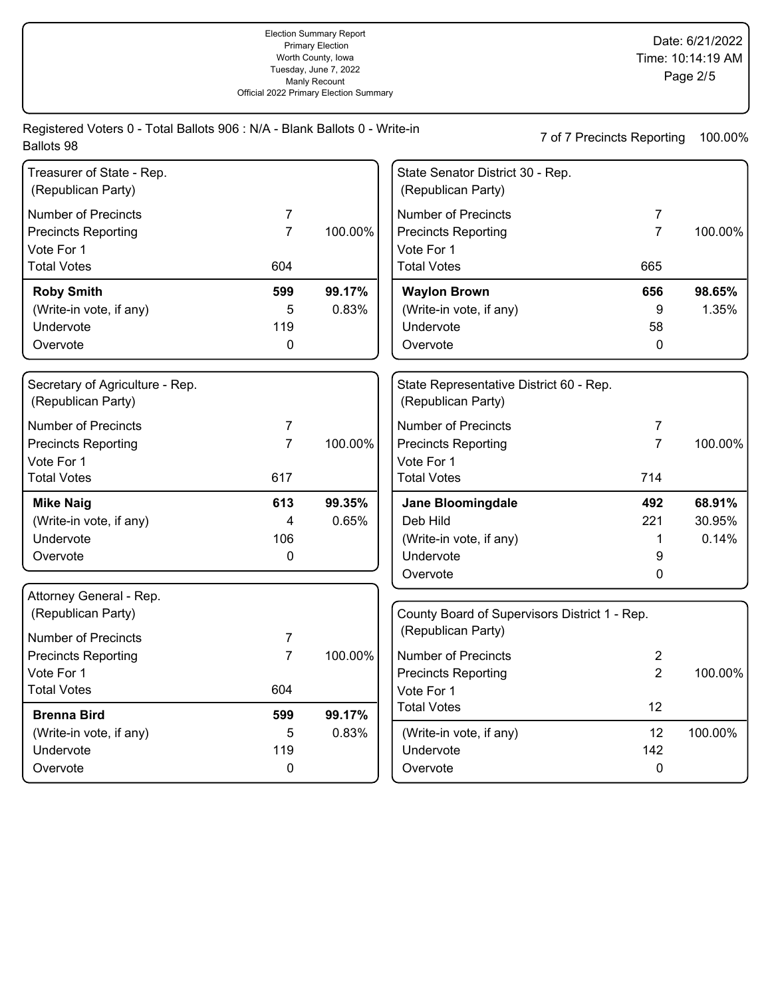Registered Voters 0 - Total Ballots 906 : N/A - Blank Ballots 0 - Write-in 7 of 7 Precincts Reporting 100.00% Ballots 98

| Treasurer of State - Rep.<br>(Republican Party)       |                |         | State Senator District 30 - Rep.<br>(Republican Party)        |                |         |
|-------------------------------------------------------|----------------|---------|---------------------------------------------------------------|----------------|---------|
| <b>Number of Precincts</b>                            | $\overline{7}$ |         | <b>Number of Precincts</b>                                    | $\overline{7}$ |         |
| <b>Precincts Reporting</b>                            | $\overline{7}$ | 100.00% | <b>Precincts Reporting</b>                                    | $\overline{7}$ | 100.00% |
| Vote For 1                                            |                |         | Vote For 1                                                    |                |         |
| <b>Total Votes</b>                                    | 604            |         | <b>Total Votes</b>                                            | 665            |         |
| <b>Roby Smith</b>                                     | 599            | 99.17%  | <b>Waylon Brown</b>                                           | 656            | 98.65%  |
| (Write-in vote, if any)                               | 5              | 0.83%   | (Write-in vote, if any)                                       | 9              | 1.35%   |
| Undervote                                             | 119            |         | Undervote                                                     | 58             |         |
| Overvote                                              | 0              |         | Overvote                                                      | 0              |         |
| Secretary of Agriculture - Rep.<br>(Republican Party) |                |         | State Representative District 60 - Rep.<br>(Republican Party) |                |         |
| <b>Number of Precincts</b>                            | $\overline{7}$ |         | <b>Number of Precincts</b>                                    | 7              |         |
| <b>Precincts Reporting</b>                            | $\overline{7}$ | 100.00% | <b>Precincts Reporting</b>                                    | $\overline{7}$ | 100.00% |
| Vote For 1                                            |                |         | Vote For 1                                                    |                |         |
| <b>Total Votes</b>                                    | 617            |         | <b>Total Votes</b>                                            | 714            |         |
| <b>Mike Naig</b>                                      | 613            | 99.35%  | Jane Bloomingdale                                             | 492            | 68.91%  |
| (Write-in vote, if any)                               | 4              | 0.65%   | Deb Hild                                                      | 221            | 30.95%  |
| Undervote                                             | 106            |         | (Write-in vote, if any)                                       | 1              | 0.14%   |
| Overvote                                              | 0              |         | Undervote                                                     | 9              |         |
|                                                       |                |         | Overvote                                                      | 0              |         |
| Attorney General - Rep.<br>(Republican Party)         |                |         | County Board of Supervisors District 1 - Rep.                 |                |         |
| <b>Number of Precincts</b>                            | 7              |         | (Republican Party)                                            |                |         |
| <b>Precincts Reporting</b>                            | $\overline{7}$ | 100.00% | <b>Number of Precincts</b>                                    | $\overline{2}$ |         |
| Vote For 1                                            |                |         | <b>Precincts Reporting</b>                                    | $\overline{2}$ | 100.00% |
| <b>Total Votes</b>                                    | 604            |         | Vote For 1                                                    |                |         |
| <b>Brenna Bird</b>                                    | 599            | 99.17%  | <b>Total Votes</b>                                            | 12             |         |
| (Write-in vote, if any)                               | 5              | 0.83%   | (Write-in vote, if any)                                       | 12             | 100.00% |
| Undervote                                             | 119            |         | Undervote                                                     | 142            |         |
| Overvote                                              | $\mathbf 0$    |         | Overvote                                                      | 0              |         |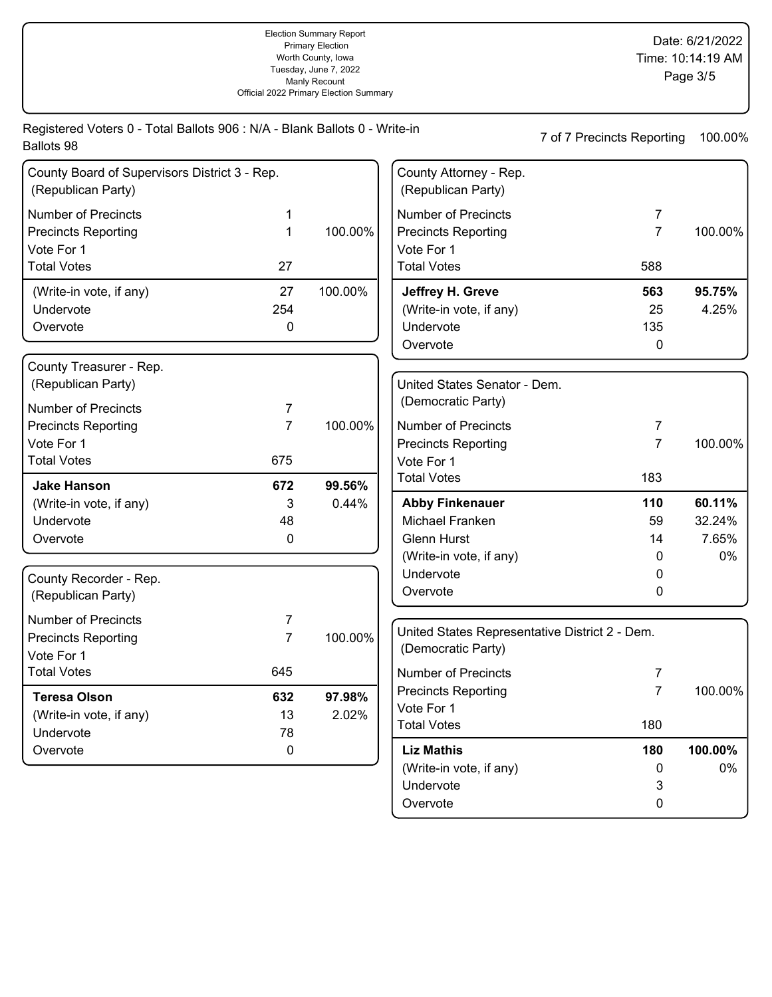| Ballots 98                                                          |                |         |                                                | 7 of 7 Precincts Reporting | 100.00% |
|---------------------------------------------------------------------|----------------|---------|------------------------------------------------|----------------------------|---------|
| County Board of Supervisors District 3 - Rep.<br>(Republican Party) |                |         | County Attorney - Rep.<br>(Republican Party)   |                            |         |
| <b>Number of Precincts</b>                                          | 1              |         | <b>Number of Precincts</b>                     | $\overline{7}$             |         |
| <b>Precincts Reporting</b>                                          | 1              | 100.00% | <b>Precincts Reporting</b>                     | 7                          | 100.00% |
| Vote For 1                                                          |                |         | Vote For 1                                     |                            |         |
| <b>Total Votes</b>                                                  | 27             |         | <b>Total Votes</b>                             | 588                        |         |
| (Write-in vote, if any)                                             | 27             | 100.00% | Jeffrey H. Greve                               | 563                        | 95.75%  |
| Undervote                                                           | 254            |         | (Write-in vote, if any)                        | 25                         | 4.25%   |
| Overvote                                                            | 0              |         | Undervote                                      | 135                        |         |
|                                                                     |                |         | Overvote                                       | $\mathbf 0$                |         |
| County Treasurer - Rep.                                             |                |         |                                                |                            |         |
| (Republican Party)                                                  |                |         | United States Senator - Dem.                   |                            |         |
| <b>Number of Precincts</b>                                          | 7              |         | (Democratic Party)                             |                            |         |
| <b>Precincts Reporting</b>                                          | $\overline{7}$ | 100.00% | <b>Number of Precincts</b>                     | 7                          |         |
| Vote For 1                                                          |                |         | <b>Precincts Reporting</b>                     | $\overline{7}$             | 100.00% |
| <b>Total Votes</b>                                                  | 675            |         | Vote For 1                                     |                            |         |
| <b>Jake Hanson</b>                                                  | 672            | 99.56%  | <b>Total Votes</b>                             | 183                        |         |
| (Write-in vote, if any)                                             | 3              | 0.44%   | <b>Abby Finkenauer</b>                         | 110                        | 60.11%  |
| Undervote                                                           | 48             |         | Michael Franken                                | 59                         | 32.24%  |
| Overvote                                                            | $\pmb{0}$      |         | <b>Glenn Hurst</b>                             | 14                         | 7.65%   |
|                                                                     |                |         | (Write-in vote, if any)                        | 0                          | 0%      |
| County Recorder - Rep.                                              |                |         | Undervote                                      | 0                          |         |
| (Republican Party)                                                  |                |         | Overvote                                       | 0                          |         |
| <b>Number of Precincts</b>                                          | 7              |         |                                                |                            |         |
| <b>Precincts Reporting</b>                                          | $\overline{7}$ | 100.00% | United States Representative District 2 - Dem. |                            |         |
| Vote For 1                                                          |                |         | (Democratic Party)                             |                            |         |
| <b>Total Votes</b>                                                  | 645            |         | <b>Number of Precincts</b>                     | 7                          |         |
| <b>Teresa Olson</b>                                                 | 632            | 97.98%  | <b>Precincts Reporting</b>                     | 7                          | 100.00% |
| (Write-in vote, if any)                                             | 13             | 2.02%   | Vote For 1                                     |                            |         |
| Undervote                                                           | 78             |         | <b>Total Votes</b>                             | 180                        |         |
| Overvote                                                            | 0              |         | <b>Liz Mathis</b>                              | 180                        | 100.00% |
|                                                                     |                |         | (Write-in vote, if any)                        | 0                          | 0%      |
|                                                                     |                |         | Undervote                                      | 3                          |         |
|                                                                     |                |         | Overvote                                       | $\pmb{0}$                  |         |

Registered Voters 0 - Total Ballots 906 : N/A - Blank Ballots 0 - Write-in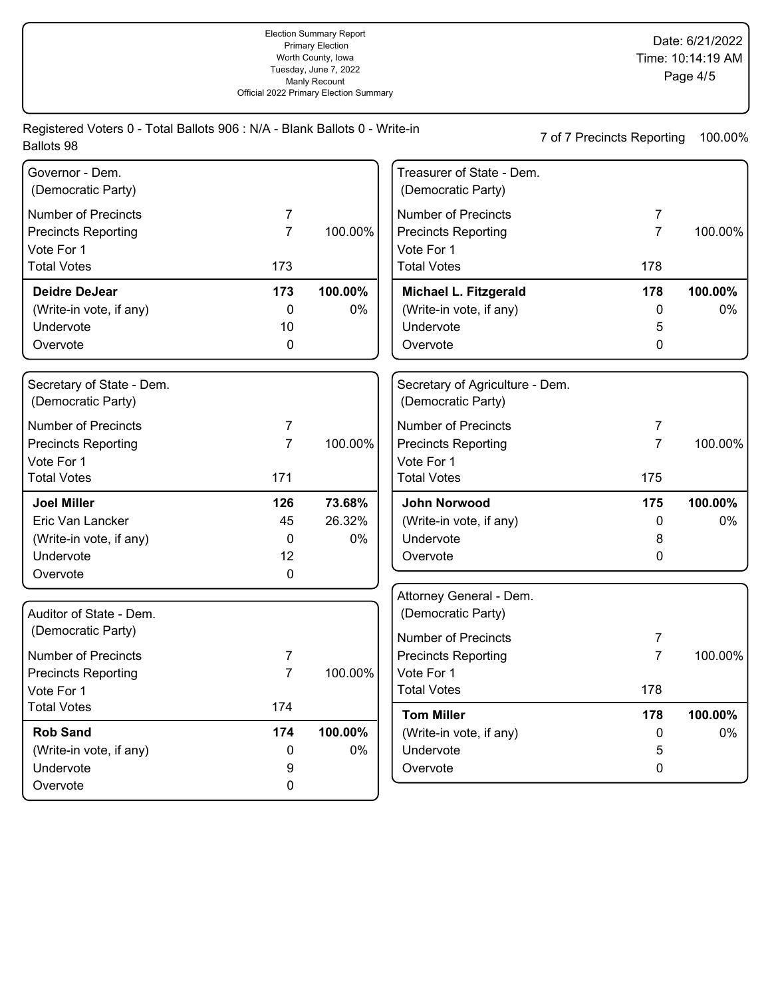|            | Registered Voters 0 - Total Ballots 906 : N/A - Blank Ballots 0 - Write-in |  |  |
|------------|----------------------------------------------------------------------------|--|--|
| Ballots 98 |                                                                            |  |  |
|            |                                                                            |  |  |

7 of 7 Precincts Reporting 100.00%

| Governor - Dem.<br>(Democratic Party)           |                |         | Treasurer of State - Dem.<br>(Democratic Party)       |                |         |
|-------------------------------------------------|----------------|---------|-------------------------------------------------------|----------------|---------|
| <b>Number of Precincts</b>                      | $\overline{7}$ |         | <b>Number of Precincts</b>                            | 7              |         |
| <b>Precincts Reporting</b>                      | $\overline{7}$ | 100.00% | <b>Precincts Reporting</b>                            | $\overline{7}$ | 100.00% |
| Vote For 1                                      |                |         | Vote For 1                                            |                |         |
| <b>Total Votes</b>                              | 173            |         | <b>Total Votes</b>                                    | 178            |         |
| <b>Deidre DeJear</b>                            | 173            | 100.00% | Michael L. Fitzgerald                                 | 178            | 100.00% |
| (Write-in vote, if any)                         | $\mathbf 0$    | 0%      | (Write-in vote, if any)                               | 0              | 0%      |
| Undervote                                       | 10             |         | Undervote                                             | 5              |         |
| Overvote                                        | $\mathbf 0$    |         | Overvote                                              | 0              |         |
|                                                 |                |         |                                                       |                |         |
| Secretary of State - Dem.<br>(Democratic Party) |                |         | Secretary of Agriculture - Dem.<br>(Democratic Party) |                |         |
| <b>Number of Precincts</b>                      | 7              |         | <b>Number of Precincts</b>                            | 7              |         |
| <b>Precincts Reporting</b>                      | $\overline{7}$ | 100.00% | <b>Precincts Reporting</b>                            | $\overline{7}$ | 100.00% |
| Vote For 1                                      |                |         | Vote For 1                                            |                |         |
| <b>Total Votes</b>                              | 171            |         | <b>Total Votes</b>                                    | 175            |         |
| <b>Joel Miller</b>                              | 126            | 73.68%  | John Norwood                                          | 175            | 100.00% |
| Eric Van Lancker                                | 45             | 26.32%  | (Write-in vote, if any)                               | 0              | 0%      |
| (Write-in vote, if any)                         | 0              | 0%      | Undervote                                             | 8              |         |
| Undervote                                       | 12             |         | Overvote                                              | 0              |         |
| Overvote                                        | 0              |         |                                                       |                |         |
|                                                 |                |         | Attorney General - Dem.                               |                |         |
| Auditor of State - Dem.                         |                |         | (Democratic Party)                                    |                |         |
| (Democratic Party)                              |                |         | <b>Number of Precincts</b>                            | 7              |         |
| <b>Number of Precincts</b>                      | 7              |         | <b>Precincts Reporting</b>                            | $\overline{7}$ | 100.00% |
| <b>Precincts Reporting</b>                      | $\overline{7}$ | 100.00% | Vote For 1                                            |                |         |
| Vote For 1                                      |                |         | <b>Total Votes</b>                                    | 178            |         |
| <b>Total Votes</b>                              | 174            |         | <b>Tom Miller</b>                                     | 178            | 100.00% |
| <b>Rob Sand</b>                                 | 174            | 100.00% | (Write-in vote, if any)                               | 0              | $0\%$   |
| (Write-in vote, if any)                         | 0              | 0%      | Undervote                                             | 5              |         |
| Undervote                                       | 9              |         | Overvote                                              | $\mathbf 0$    |         |
| Overvote                                        | 0              |         |                                                       |                |         |